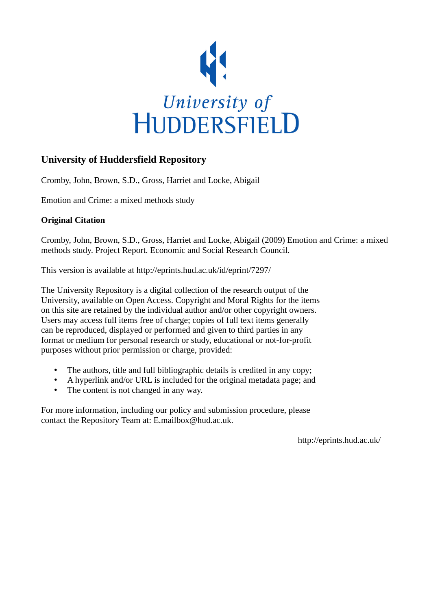

# **University of Huddersfield Repository**

Cromby, John, Brown, S.D., Gross, Harriet and Locke, Abigail

Emotion and Crime: a mixed methods study

# **Original Citation**

Cromby, John, Brown, S.D., Gross, Harriet and Locke, Abigail (2009) Emotion and Crime: a mixed methods study. Project Report. Economic and Social Research Council.

This version is available at http://eprints.hud.ac.uk/id/eprint/7297/

The University Repository is a digital collection of the research output of the University, available on Open Access. Copyright and Moral Rights for the items on this site are retained by the individual author and/or other copyright owners. Users may access full items free of charge; copies of full text items generally can be reproduced, displayed or performed and given to third parties in any format or medium for personal research or study, educational or not-for-profit purposes without prior permission or charge, provided:

- The authors, title and full bibliographic details is credited in any copy;
- A hyperlink and/or URL is included for the original metadata page; and
- The content is not changed in any way.

For more information, including our policy and submission procedure, please contact the Repository Team at: E.mailbox@hud.ac.uk.

http://eprints.hud.ac.uk/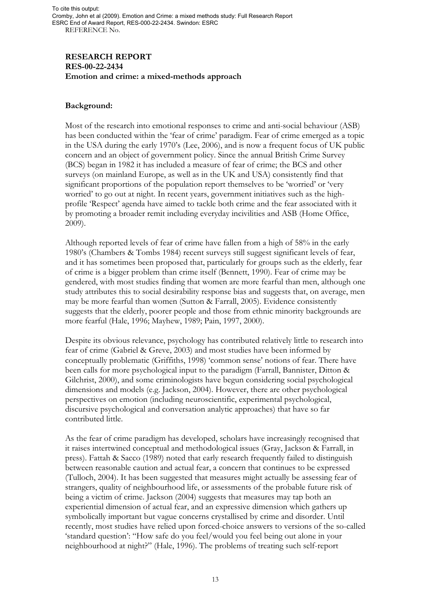### **RESEARCH REPORT RES-00-22-2434 Emotion and crime: a mixed-methods approach**

### **Background:**

Most of the research into emotional responses to crime and anti-social behaviour (ASB) has been conducted within the 'fear of crime' paradigm. Fear of crime emerged as a topic in the USA during the early 1970's (Lee, 2006), and is now a frequent focus of UK public concern and an object of government policy. Since the annual British Crime Survey (BCS) began in 1982 it has included a measure of fear of crime; the BCS and other surveys (on mainland Europe, as well as in the UK and USA) consistently find that significant proportions of the population report themselves to be 'worried' or 'very worried' to go out at night. In recent years, government initiatives such as the highprofile 'Respect' agenda have aimed to tackle both crime and the fear associated with it by promoting a broader remit including everyday incivilities and ASB (Home Office, 2009).

Although reported levels of fear of crime have fallen from a high of 58% in the early 1980's (Chambers & Tombs 1984) recent surveys still suggest significant levels of fear, and it has sometimes been proposed that, particularly for groups such as the elderly, fear of crime is a bigger problem than crime itself (Bennett, 1990). Fear of crime may be gendered, with most studies finding that women are more fearful than men, although one study attributes this to social desirability response bias and suggests that, on average, men may be more fearful than women (Sutton & Farrall, 2005). Evidence consistently suggests that the elderly, poorer people and those from ethnic minority backgrounds are more fearful (Hale, 1996; Mayhew, 1989; Pain, 1997, 2000).

Despite its obvious relevance, psychology has contributed relatively little to research into fear of crime (Gabriel & Greve, 2003) and most studies have been informed by conceptually problematic (Griffiths, 1998) 'common sense' notions of fear. There have been calls for more psychological input to the paradigm (Farrall, Bannister, Ditton & Gilchrist, 2000), and some criminologists have begun considering social psychological dimensions and models (e.g. Jackson, 2004). However, there are other psychological perspectives on emotion (including neuroscientific, experimental psychological, discursive psychological and conversation analytic approaches) that have so far contributed little.

As the fear of crime paradigm has developed, scholars have increasingly recognised that it raises intertwined conceptual and methodological issues (Gray, Jackson & Farrall, in press). Fattah & Sacco (1989) noted that early research frequently failed to distinguish between reasonable caution and actual fear, a concern that continues to be expressed (Tulloch, 2004). It has been suggested that measures might actually be assessing fear of strangers, quality of neighbourhood life, or assessments of the probable future risk of being a victim of crime. Jackson (2004) suggests that measures may tap both an experiential dimension of actual fear, and an expressive dimension which gathers up symbolically important but vague concerns crystallised by crime and disorder. Until recently, most studies have relied upon forced-choice answers to versions of the so-called 'standard question': "How safe do you feel/would you feel being out alone in your neighbourhood at night?" (Hale, 1996). The problems of treating such self-report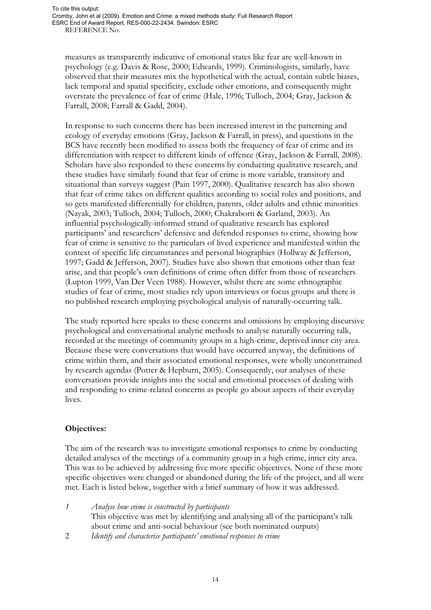measures as transparently indicative of emotional states like fear are well-known in psychology (e.g. Davis & Rose, 2000; Edwards, 1999). Criminologists, similarly, have observed that their measures mix the hypothetical with the actual, contain subtle biases, lack temporal and spatial specificity, exclude other emotions, and consequently might overstate the prevalence of fear of crime (Hale, 1996; Tulloch, 2004; Gray, Jackson & Farrall, 2008; Farrall & Gadd, 2004).

In response to such concerns there has been increased interest in the patterning and ecology of everyday emotions (Gray, Jackson & Farrall, in press), and questions in the BCS have recently been modified to assess both the frequency of fear of crime and its differentiation with respect to different kinds of offence (Gray, Jackson & Farrall, 2008). Scholars have also responded to these concerns by conducting qualitative research, and these studies have similarly found that fear of crime is more variable, transitory and situational than surveys suggest (Pain 1997, 2000). Qualitative research has also shown that fear of crime takes on different qualities according to social roles and positions, and so gets manifested differentially for children, parents, older adults and ethnic minorities (Nayak, 2003; Tulloch, 2004; Tulloch, 2000; Chakraborti & Garland, 2003). An influential psychologically-informed strand of qualitative research has explored participants' and researchers' defensive and defended responses to crime, showing how fear of crime is sensitive to the particulars of lived experience and manifested within the context of specific life circumstances and personal biographies (Hollway & Jefferson, 1997; Gadd & Jefferson, 2007). Studies have also shown that emotions other than fear arise, and that people's own definitions of crime often differ from those of researchers (Lupton 1999, Van Der Veen 1988). However, whilst there are some ethnographic studies of fear of crime, most studies rely upon interviews or focus groups and there is no published research employing psychological analysis of naturally-occurring talk.

The study reported here speaks to these concerns and omissions by employing discursive psychological and conversational analytic methods to analyse naturally occurring talk, recorded at the meetings of community groups in a high-crime, deprived inner city area. Because these were conversations that would have occurred anyway, the definitions of crime within them, and their associated emotional responses, were wholly unconstrained by research agendas (Potter & Hepburn, 2005). Consequently, our analyses of these conversations provide insights into the social and emotional processes of dealing with and responding to crime-related concerns as people go about aspects of their everyday lives.

### **Objectives:**

The aim of the research was to investigate emotional responses to crime by conducting detailed analyses of the meetings of a community group in a high crime, inner city area. This was to be achieved by addressing five more specific objectives. None of these more specific objectives were changed or abandoned during the life of the project, and all were met. Each is listed below, together with a brief summary of how it was addressed.

|  | Analyse how crime is constructed by participants                                  |
|--|-----------------------------------------------------------------------------------|
|  | This objective was met by identifying and analysing all of the participant's talk |
|  | about crime and anti-social behaviour (see both nominated outputs)                |
|  | Identify and characterise participants' emotional responses to crime              |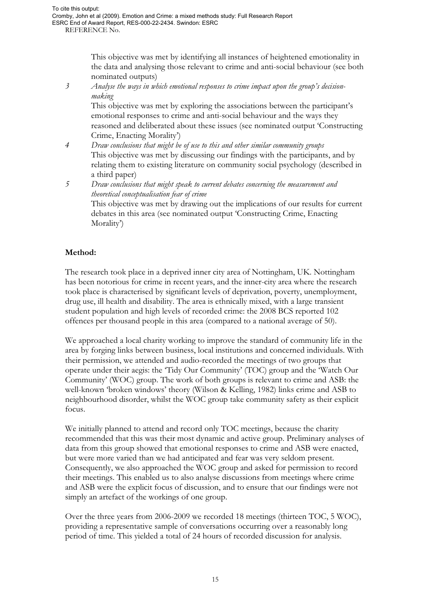This objective was met by identifying all instances of heightened emotionality in the data and analysing those relevant to crime and anti-social behaviour (see both nominated outputs)

*3 Analyse the ways in which emotional responses to crime impact upon the group's decisionmaking* 

This objective was met by exploring the associations between the participant's emotional responses to crime and anti-social behaviour and the ways they reasoned and deliberated about these issues (see nominated output 'Constructing Crime, Enacting Morality')

- *4 Draw conclusions that might be of use to this and other similar community groups*  This objective was met by discussing our findings with the participants, and by relating them to existing literature on community social psychology (described in a third paper)
- *5 Draw conclusions that might speak to current debates concerning the measurement and theoretical conceptualisation fear of crime*  This objective was met by drawing out the implications of our results for current debates in this area (see nominated output 'Constructing Crime, Enacting

## **Method:**

Morality')

The research took place in a deprived inner city area of Nottingham, UK. Nottingham has been notorious for crime in recent years, and the inner-city area where the research took place is characterised by significant levels of deprivation, poverty, unemployment, drug use, ill health and disability. The area is ethnically mixed, with a large transient student population and high levels of recorded crime: the 2008 BCS reported 102 offences per thousand people in this area (compared to a national average of 50).

We approached a local charity working to improve the standard of community life in the area by forging links between business, local institutions and concerned individuals. With their permission, we attended and audio-recorded the meetings of two groups that operate under their aegis: the 'Tidy Our Community' (TOC) group and the 'Watch Our Community' (WOC) group. The work of both groups is relevant to crime and ASB: the well-known 'broken windows' theory (Wilson & Kelling, 1982) links crime and ASB to neighbourhood disorder, whilst the WOC group take community safety as their explicit focus.

We initially planned to attend and record only TOC meetings, because the charity recommended that this was their most dynamic and active group. Preliminary analyses of data from this group showed that emotional responses to crime and ASB were enacted, but were more varied than we had anticipated and fear was very seldom present. Consequently, we also approached the WOC group and asked for permission to record their meetings. This enabled us to also analyse discussions from meetings where crime and ASB were the explicit focus of discussion, and to ensure that our findings were not simply an artefact of the workings of one group.

Over the three years from 2006-2009 we recorded 18 meetings (thirteen TOC, 5 WOC), providing a representative sample of conversations occurring over a reasonably long period of time. This yielded a total of 24 hours of recorded discussion for analysis.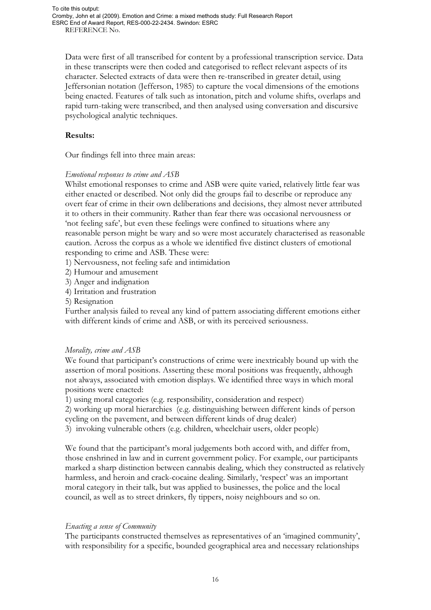Data were first of all transcribed for content by a professional transcription service. Data in these transcripts were then coded and categorised to reflect relevant aspects of its character. Selected extracts of data were then re-transcribed in greater detail, using Jeffersonian notation (Jefferson, 1985) to capture the vocal dimensions of the emotions being enacted. Features of talk such as intonation, pitch and volume shifts, overlaps and rapid turn-taking were transcribed, and then analysed using conversation and discursive psychological analytic techniques.

### **Results:**

Our findings fell into three main areas:

#### *Emotional responses to crime and ASB*

Whilst emotional responses to crime and ASB were quite varied, relatively little fear was either enacted or described. Not only did the groups fail to describe or reproduce any overt fear of crime in their own deliberations and decisions, they almost never attributed it to others in their community. Rather than fear there was occasional nervousness or 'not feeling safe', but even these feelings were confined to situations where any reasonable person might be wary and so were most accurately characterised as reasonable caution. Across the corpus as a whole we identified five distinct clusters of emotional responding to crime and ASB. These were:

- 1) Nervousness, not feeling safe and intimidation
- 2) Humour and amusement
- 3) Anger and indignation
- 4) Irritation and frustration
- 5) Resignation

Further analysis failed to reveal any kind of pattern associating different emotions either with different kinds of crime and ASB, or with its perceived seriousness.

#### *Morality, crime and ASB*

We found that participant's constructions of crime were inextricably bound up with the assertion of moral positions. Asserting these moral positions was frequently, although not always, associated with emotion displays. We identified three ways in which moral positions were enacted:

1) using moral categories (e.g. responsibility, consideration and respect)

2) working up moral hierarchies (e.g. distinguishing between different kinds of person

cycling on the pavement, and between different kinds of drug dealer)

3) invoking vulnerable others (e.g. children, wheelchair users, older people)

We found that the participant's moral judgements both accord with, and differ from, those enshrined in law and in current government policy. For example, our participants marked a sharp distinction between cannabis dealing, which they constructed as relatively harmless, and heroin and crack-cocaine dealing. Similarly, 'respect' was an important moral category in their talk, but was applied to businesses, the police and the local council, as well as to street drinkers, fly tippers, noisy neighbours and so on.

#### *Enacting a sense of Community*

The participants constructed themselves as representatives of an 'imagined community', with responsibility for a specific, bounded geographical area and necessary relationships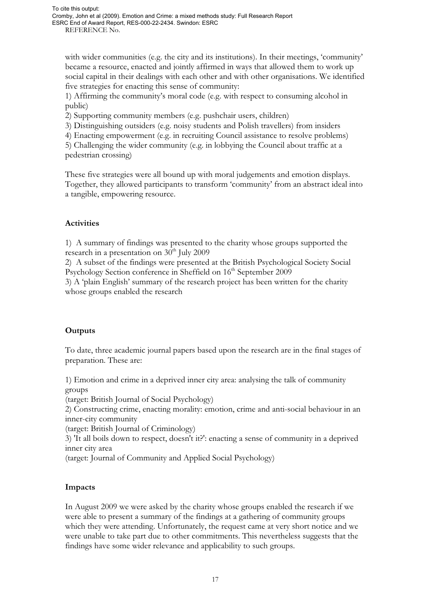with wider communities (e.g. the city and its institutions). In their meetings, 'community' became a resource, enacted and jointly affirmed in ways that allowed them to work up social capital in their dealings with each other and with other organisations. We identified five strategies for enacting this sense of community:

1) Affirming the community's moral code (e.g. with respect to consuming alcohol in public)

2) Supporting community members (e.g. pushchair users, children)

3) Distinguishing outsiders (e.g. noisy students and Polish travellers) from insiders

4) Enacting empowerment (e.g. in recruiting Council assistance to resolve problems)

5) Challenging the wider community (e.g. in lobbying the Council about traffic at a pedestrian crossing)

These five strategies were all bound up with moral judgements and emotion displays. Together, they allowed participants to transform 'community' from an abstract ideal into a tangible, empowering resource.

# **Activities**

1) A summary of findings was presented to the charity whose groups supported the research in a presentation on  $30<sup>th</sup>$  July 2009

2) A subset of the findings were presented at the British Psychological Society Social Psychology Section conference in Sheffield on 16<sup>th</sup> September 2009

3) A 'plain English' summary of the research project has been written for the charity whose groups enabled the research

## **Outputs**

To date, three academic journal papers based upon the research are in the final stages of preparation. These are:

1) Emotion and crime in a deprived inner city area: analysing the talk of community groups

(target: British Journal of Social Psychology)

2) Constructing crime, enacting morality: emotion, crime and anti-social behaviour in an inner-city community

(target: British Journal of Criminology)

3) 'It all boils down to respect, doesn't it?': enacting a sense of community in a deprived inner city area

(target: Journal of Community and Applied Social Psychology)

## **Impacts**

In August 2009 we were asked by the charity whose groups enabled the research if we were able to present a summary of the findings at a gathering of community groups which they were attending. Unfortunately, the request came at very short notice and we were unable to take part due to other commitments. This nevertheless suggests that the findings have some wider relevance and applicability to such groups.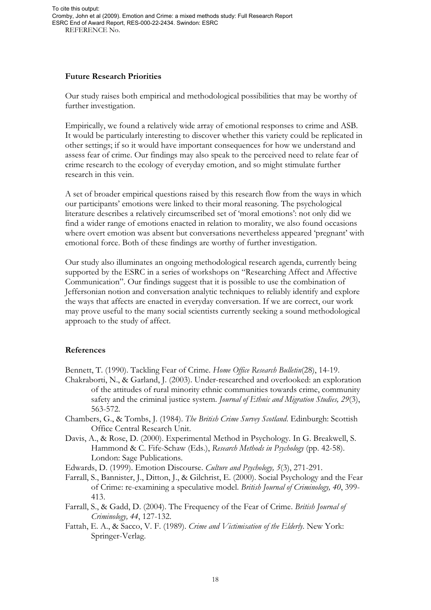#### **Future Research Priorities**

Our study raises both empirical and methodological possibilities that may be worthy of further investigation.

Empirically, we found a relatively wide array of emotional responses to crime and ASB. It would be particularly interesting to discover whether this variety could be replicated in other settings; if so it would have important consequences for how we understand and assess fear of crime. Our findings may also speak to the perceived need to relate fear of crime research to the ecology of everyday emotion, and so might stimulate further research in this vein.

A set of broader empirical questions raised by this research flow from the ways in which our participants' emotions were linked to their moral reasoning. The psychological literature describes a relatively circumscribed set of 'moral emotions': not only did we find a wider range of emotions enacted in relation to morality, we also found occasions where overt emotion was absent but conversations nevertheless appeared 'pregnant' with emotional force. Both of these findings are worthy of further investigation.

Our study also illuminates an ongoing methodological research agenda, currently being supported by the ESRC in a series of workshops on "Researching Affect and Affective Communication". Our findings suggest that it is possible to use the combination of Jeffersonian notion and conversation analytic techniques to reliably identify and explore the ways that affects are enacted in everyday conversation. If we are correct, our work may prove useful to the many social scientists currently seeking a sound methodological approach to the study of affect.

#### **References**

Bennett, T. (1990). Tackling Fear of Crime. *Home Office Research Bulletin*(28), 14-19.

- Chakraborti, N., & Garland, J. (2003). Under-researched and overlooked: an exploration of the attitudes of rural minority ethnic communities towards crime, community safety and the criminal justice system. *Journal of Ethnic and Migration Studies, 29*(3), 563-572.
- Chambers, G., & Tombs, J. (1984). *The British Crime Survey Scotland*. Edinburgh: Scottish Office Central Research Unit.
- Davis, A., & Rose, D. (2000). Experimental Method in Psychology. In G. Breakwell, S. Hammond & C. Fife-Schaw (Eds.), *Research Methods in Psychology* (pp. 42-58). London: Sage Publications.

Edwards, D. (1999). Emotion Discourse. *Culture and Psychology, 5*(3), 271-291.

- Farrall, S., Bannister, J., Ditton, J., & Gilchrist, E. (2000). Social Psychology and the Fear of Crime: re-examining a speculative model. *British Journal of Criminology, 40*, 399- 413.
- Farrall, S., & Gadd, D. (2004). The Frequency of the Fear of Crime. *British Journal of Criminology, 44*, 127-132.
- Fattah, E. A., & Sacco, V. F. (1989). *Crime and Victimisation of the Elderly*. New York: Springer-Verlag.